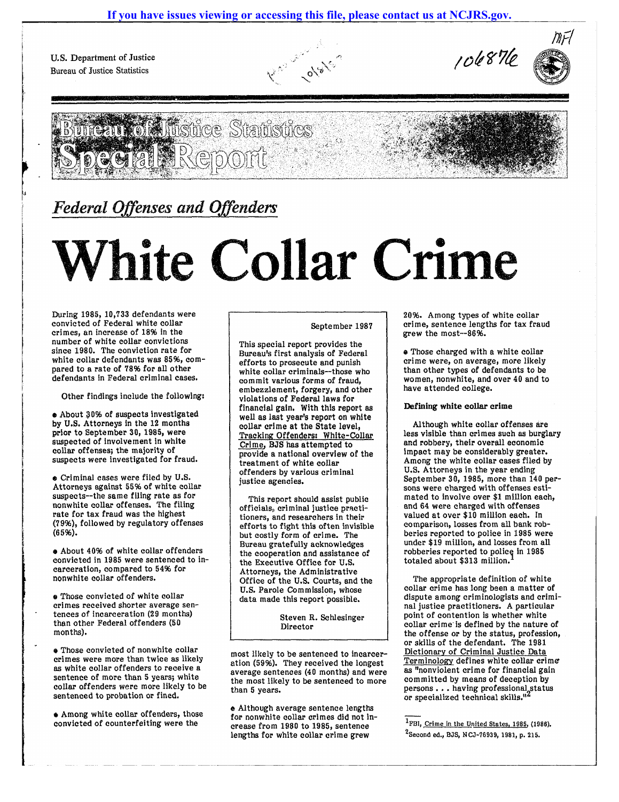U.S. Department of Justice Bureau of Justice Statistics









# *Federal Offenses and Offenders*

# **White Collar Crime**

During 1985, 10,733 defendants were convicted of Federal white collar crimes, an increase of 18% in the number of white collar convictions since 1980. The conviction rate for white collar defendants was 85%, compared to a rate of 78% for all other defendants in Federal criminal cases.

Other findings include the following:

• About 30% of suspects investigated by U.S. Attorneys In the 12 months prior to September 30, 1985, were suspected of involvement In white collar offenses; the majority of suspects were investigated for fraud.

 $\bullet$  Criminal cases were filed by U.S. Attorneys against 55% of white collar suspects--the same filing rate as for nonwhite collar offenses. The filing rate for tax fraud was the highest (7996), followed by regulatory offenses (6596).

• About 40% of white collar offenders convicted in 1985 were sentenced to incarceration, compared to 54% for nonwhite collar offenders.

 $\bullet$  Those convicted of white collar crimes received shorter average sentences of incarceration (29 months) than other Federal offenders (50 months).

• Those convicted of nonwhite collar crimes were more than twice as likely as white collar offenders to receive a sentence of more than 5 years; white collar offenders were more likely to be sentenced to probation or fined.

• Among white collar offenders, those convicted of counterfeiting were the

# September 1987

This special report provides the Bureau's first analysis of Federal efforts to prosecute and punish white collar criminals--those who commit various forms of fraud, embezzlement, forgery, and other violations of Federal laws for financial gain. With this report as well as last year's report on white collar crime at the State level, Tracking Offenders: White-Collar Crime, BJS has attempted to provide a national overview of the treatment of white collar offenders by various criminal justice agencies.

This report should assist public officials, criminal justice practitioners, and researchers in their efforts to fight this often invisible but costly form of crime. The Bureau gratefully acknowledges the cooperation and assistance of the Executive Office for U.S. Attorneys, the Administrative Office of the U.S. Courts, and the U.S. Parole Commission, whose data made this report possible.

> Steven R. Schlesinger Director

most likely to be sentenced to incarceration (59%). They received the longest average sentences (40 months) and were the most likely to be sentenced to more than 5 years.

• Although average sentence lengths for nonwhite collar crimes did not increase from 1980 to 1985, sentence lengths for white collar crime grew

\_\_\_\_\_\_\_\_\_\_\_\_\_\_\_\_\_\_\_\_\_\_\_\_\_\_\_\_\_\_\_\_\_\_\_\_\_\_\_\_\_\_\_\_\_\_\_\_\_\_ .-J

20%. Among types of white collar crime, sentence lengths for tax fraud grew the most--86%.

• Those charged with a white collar crime were, on average, more likely than other types of defendants to be women, nonwhite, and over 40 and to have attended college.

# Defining white collar crime

Although white collar offenses are less visible than crimes such as burglary and robbery, their overall economic impact may be considerably greater. Among the white collar cases filed by U.S. Attorneys in the year ending September 30, 1985, more than 140 persons were charged with offenses estimated to involve over \$1 million each, and 64 were charged with offenses valued at over \$10 million each. In comparison, losses from all bank robberies reported to police in 1985 were under \$19 million, and losses from all robberies reported to police in 1985 totaled about \$313 million.

The appropriate definition of white collar crime has long been a matter of dispute among criminologists and criminal justice practitioners. A particular point of contention is whether white collar crime is defined by the nature of the offense or by the status, profession, or skills of the defendant. The 1981 Dictionary of Criminal Justice Data Terminology defines white collar crime' as "nonviolent crime for financial gain committed by means of deception by persons  $\ldots$  having professional status<br>or specialized technical skills.<sup>82</sup> or specialized technical skills."

<sup>&</sup>lt;sup>1</sup>FBI, Crime in the United States, 1985, (1986). 2Second ed., BJS, NCJ-?6939, 1981, p. 215.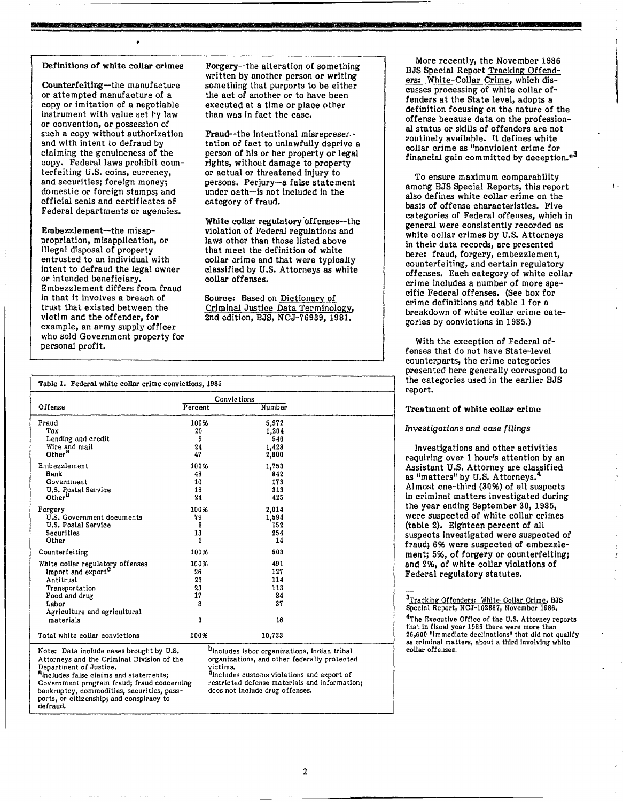#### Definitions of white collar crimes

 $\overline{\mathbf{r}}$ 

**ANY RESERVED BY THE RESIDENCE** 

**CONTRACTORS** 

Counterfeiting--the manufacture or attempted manufacture of a copy or imitation of a negotiable instrument with value set by law or convention, or possession of such a copy without authorization and with intent to defraud by claiming the genuineness of the copy. Federal laws prohibit counterfeiting U.S. coins, currency, and securities; foreign money; domestic or foreign stamps; and official seals and certificates OP Federal departments or agencies.

Embezzlement-the misappropriation, misapplication, or illegal disposal of property entrusted to an individual with intent to defraud the legal owner or intended beneficiary. Embezzlement differs from fraud in that it involves a breach of trust that existed between the victim and the offender, for example, an army supply officer who sold Government property for personal profit.

Table 1. Federal white collar crime convictions, 1985

Forgery--the alteration of something written by another person or writing something that purports to be either the act of another or to have been executed at a time or place other than was in fact the case.

19 TSK A SING YRINGAN

**Market School (Start School** 

**Maria Adam** 

Fraud--the intentional misrepreser.· tation of fact to unlawfully deprive a person of his or her property or legal rights, without damage to property or actual or threatened injury to persons. Perjury--a false statement under oath--is not included in the category of fraud.

White collar regulatory offenses--the violation of Federal regulations and la ws other than those listed above that meet the definition of white collar crime and that were typically classified by U.S. Attorneys as white collar offenses.

Source: Based on Dictionary of Criminal Justice Data Terminology, 2nd edition, BJS, NCJ-76939, 1981.

More recently, the November 1986 BJS Special Report Tracking Offenders: White-Collar Crime, which discusses processing of white collar offenders at the State level, adopts a definition focusing on the nature of the offense because data on the professional status or skills of offenders are not routinely available. It defines white collar crime as "nonviolent crime for financial gain committed by deception."

To ensure maximum comparability among BJS Special Reports, this report also defines white collar crime on the basis of offense characteristics. Five categories of Federal offenses, which in general were consistently recorded as white collar crimes by U.S. Attorneys in their data records, are presented here: fraud, forgery, embezzlement, counterfeiting, and certain regulatory offenses. Each category of white collar crime includes a number of more specific Federal offenses. (See box for crime definitions and table 1 for a breakdown of white collar crime categories by convictions in 1985.)

With the exception of Federal offenses that do not have State-level counterparts, the crime categories presented here generally correspond to the categories used in the earlier BJS report.

#### Treatment of white collar crime

# *Investigations* and *case filings*

Investigations and other activities requiring over 1 hour's attention by an Assistant U.S. Attorney are classified as "matters" by U.S. Attorneys. Almost one-third (3096) of all suspects in criminal matters investigated during the year ending September 30, 1985, were suspected of white collar crimes (table 2). Eighteen percent of all suspects Investigated were suspected of fraud; 6% were suspected of embezzlement; 5%, of forgery or counterfeiting; and 296, of white collar violations of Federal regulatory statutes.

3Tracking Offenders: White-Collar Crime, BJS Special Report, NCJ-102867, November 1986.

<sup>4</sup>The Executive Office of the U.S. Attorney reports that In fiscal year 1985 there were more than 26,600 "Immediate declinations" that dId not qualify as crIminal matters, about a thIrd Involving white collar offenses.

|                                  | Convictions |        |  |
|----------------------------------|-------------|--------|--|
| Offense                          | Percent     | Number |  |
| Fraud                            | 100%        | 5,972  |  |
| Tax                              | 20          | 1,204  |  |
| Lending and credit               | 9           | 540    |  |
| Wire and mail                    | 24          | 1,428  |  |
| Other <sup>8</sup>               | 47          | 2,800  |  |
| Embezzlement                     | 100%        | 1,753  |  |
| Bank                             | 48          | 842    |  |
| Government                       | 10          | 173    |  |
| U.S. Postal Service              | 18          | 313    |  |
| Other <sup>D</sup>               | 24          | 425    |  |
| Forgery                          | 100%        | 2,014  |  |
| U.S. Government documents        | 79          | 1,594  |  |
| U.S. Postal Service              | 8           | 152    |  |
| Securities                       | 13          | 254    |  |
| Other                            | 1           | 14     |  |
| Counterfeiting                   | 100%        | 503    |  |
| White collar regulatory offenses | 100%        | 491    |  |
| Import and export <sup>e</sup>   | 26          | 127    |  |
| Antitrust                        | 23          | 114    |  |
| Transportation                   | 23          | 113    |  |
| Food and drug                    | 17          | 84     |  |
| Labor                            | 8           | 37     |  |
| Agriculture and agricultural     |             |        |  |
| materials                        | 3           | 16     |  |
| Total white collar convictions   | 100%<br>ь   | 10,733 |  |

Note: Data include cases brought by U.S. <sup>D</sup>Includes labor organizations, Indian tribal<br>Attorneys and the Criminal Division of the organizations, and other federally protecte Department of Justice.<br> $a_{\text{Includes false claims and statements}}$ 

ally also false.<br>  $a_{\text{Includes}}$  cludes false claims and statements; clncludes customs violations and export of directions and export of directions of directions and export of directions and statements; covernment program fra bankruptcy, commodities, securities, passports, or citizenship; and conspiracy to defraud.

organizations, and other federally protected

restricted defense materials and information;<br>does not include drug offenses.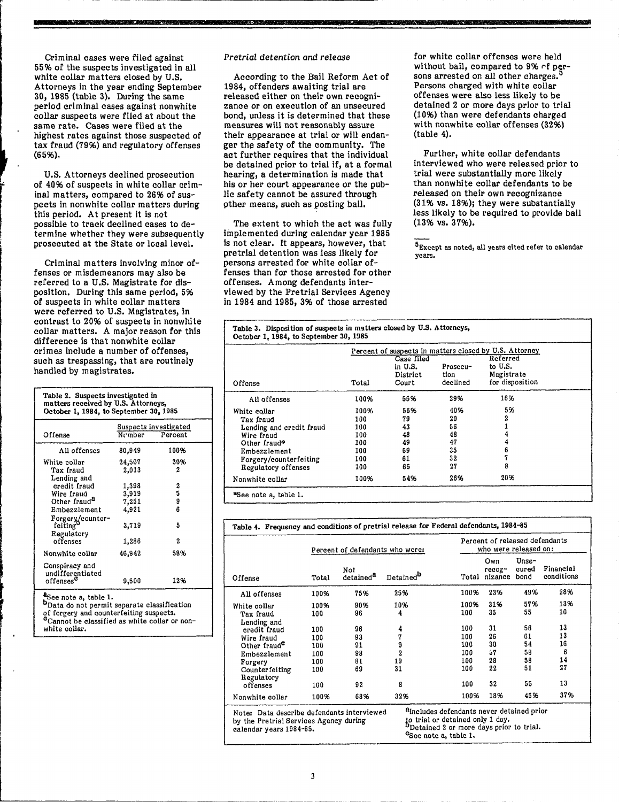Criminal cases were filed against 55% of the suspects investigated in all white collar matters closed by U.S. Attorneys in the year ending September 30, 1985 (table 3). During the same period criminal cases against nonwhite collar suspects were filed at about the same rate. Cases were filed at the highest rates against those suspected of tax fraud (79%) and regulatory offenses (6596).

**IF 1M' IN THE UNITED STATES AND DESCRIPTIONS OF A LICENSE OF A LICENSE OF A LICENSE OF A LICENSE OF A LICENSE** 

I'

r-------.--------------------------------------------------------------------

U.S. Attorneys declined prosecution of 4096 of suspects in white collar criminal matters, compared to 2696 of suspects in nonWhite collar matters during this period. At present it is not possible to track declined cases to determine whether they were subsequently prosecuted at the State or local level.

Criminal matters involving minor offenses or misdemeanors may also be referred to a U.S. Magistrate for disposition. During this same period, 596 of suspects in white collar matters were referred to U.S. Magistrates, in contrast to 2096 of suspects in nonwhite collar matters. A major reason for this difference is that nonwhite collar crimes include a number of offenses, such as trespassing, that are routinely handled by magistrates.

| Table 2. Suspects investigated in<br>matters received by U.S. Attorneys,<br>October 1, 1984, to September 30, 1985 |                                                              |      |  |  |  |  |  |
|--------------------------------------------------------------------------------------------------------------------|--------------------------------------------------------------|------|--|--|--|--|--|
| Offense                                                                                                            | Suspects investigated<br>$N$ <sup>c</sup> $m$ ber<br>Percent |      |  |  |  |  |  |
| All offenses                                                                                                       | 80,949                                                       | 100% |  |  |  |  |  |
| White collar                                                                                                       | 24,507                                                       | 30%  |  |  |  |  |  |
| Tax fraud                                                                                                          | 2,013                                                        | 2    |  |  |  |  |  |
| Lending and                                                                                                        |                                                              |      |  |  |  |  |  |
| credit fraud                                                                                                       | 1,398                                                        | 2    |  |  |  |  |  |
| Wire fraud                                                                                                         | 3,919                                                        | 5    |  |  |  |  |  |
| Other fraud <sup>a</sup>                                                                                           | 7,251                                                        | 9    |  |  |  |  |  |
| Embezzlement                                                                                                       | 4,921                                                        | 6    |  |  |  |  |  |
| Forgery/counter-<br>feiting'<br>Regulatory                                                                         | 3,719                                                        | 5    |  |  |  |  |  |
| offenses                                                                                                           | 1,286                                                        | 2    |  |  |  |  |  |
| Nonwhite collar                                                                                                    | 46,942                                                       | 58%  |  |  |  |  |  |
| Conspiracy and<br>undifferentiated<br>offenses $^\mathtt{c}$                                                       | 9,500                                                        | 12%  |  |  |  |  |  |
| See note a, table 1.<br><b>b</b> Data do not permit separate classification                                        |                                                              |      |  |  |  |  |  |

f

of forgery and counterfeiting suspects. <sup>c</sup>Cannot be classified as white collar or non-<br>white collar.

#### Pretrial detention and release

**h** 

According to the Bail Reform Act of 1984, offenders awaiting trial are released either on their own recognizance or on execution of an unsecured bond, unless it is determined that these measures will not reasonably assure their appearance at trial or will endanger the safety of the community. The act further requires that the individual be detained prior to trial if, at a formal hearing, a determination is made that his or her court appearance or the public safety cannot be assured through pther means, such as posting bail.

The extent to which the act was fully implemented during calendar year 1985 is not clear. It appears, however, that pretrial detention was less likely for persons arrested for white collar offenses than for those arrested for other offenses. Among defendants interviewed by the Pretrial Services Agency in 1984 and 1985, 396 of those arrested

for white collar offenses were held without bail, compared to  $9\%$  of persons arrested on all other charges. Persons charged with white collar offenses were also less likely to be detained 2 or more days prior to trial (1096) than were defendants charged with nonwhite collar offenses (3296) (table 4).

,

•

Further, white collar defendants interviewed who were released prior to trial were substantially more likely than nonWhite collar defendants to be released on their own recognizance (3196 vs. 18%); they were substantially less likely to be required to provide bail (13% vs. 3796).

5Except as noted, all years cited refer to calendar years.

|                          |       |                                            |                              | Percent of suspects in matters closed by U.S. Attorney |
|--------------------------|-------|--------------------------------------------|------------------------------|--------------------------------------------------------|
| Offense                  | Total | Case filed<br>in U.S.<br>District<br>Court | Prosecu-<br>tion<br>declined | Referred<br>to U.S.<br>Magistrate<br>for disposition   |
| All offenses             | 100%  | 55%                                        | 29%                          | 16%                                                    |
| White collar             | 100%  | 55%                                        | 40%                          | 5%                                                     |
| Tax fraud                | 100   | 79                                         | 20                           | 2                                                      |
| Lending and credit fraud | 100   | 43                                         | 56                           |                                                        |
| Wire fraud               | 100   | 48                                         | 48                           |                                                        |
| Other fraud*             | 100   | 49                                         | 47                           |                                                        |
| Embezzlement             | 100   | 59                                         | 35                           | 6                                                      |
| Forgery/counterfeiting   | 100   | 61                                         | 32                           |                                                        |
| Regulatory offenses      | 100   | 65                                         | 27                           | 8                                                      |
| Nonwhite collar          | 100%  | 54%                                        | 26%                          | 20%                                                    |

Table 4. Frequency and conditions of pretrial release for Federal defendants, 1984-85

|                                                                                                                 |       | Percent of defendants who were: |                                   |                                                                                                                                                   | Percent of released defendants<br>who were released on: |                        |                         |  |
|-----------------------------------------------------------------------------------------------------------------|-------|---------------------------------|-----------------------------------|---------------------------------------------------------------------------------------------------------------------------------------------------|---------------------------------------------------------|------------------------|-------------------------|--|
| Offense                                                                                                         | Total | Not<br>detained <sup>8</sup>    | Detained <sup>b</sup>             |                                                                                                                                                   | Own<br>recog-<br>Total nizance                          | Unse-<br>cured<br>bond | Financial<br>conditions |  |
| All offenses                                                                                                    | 100%  | 75%                             | 25%                               | 100%                                                                                                                                              | 23%                                                     | 49%                    | 28%                     |  |
| White collar                                                                                                    | 100%  | 90%                             | 10%                               | 100%                                                                                                                                              | 31%                                                     | 57%                    | 13%                     |  |
| Tax fraud                                                                                                       | 100   | 96                              | 4                                 | 100                                                                                                                                               | 35                                                      | 55                     | 10                      |  |
| Lending and                                                                                                     |       |                                 |                                   |                                                                                                                                                   |                                                         |                        |                         |  |
| credit fraud                                                                                                    | 100   | 96                              | 4                                 | 100                                                                                                                                               | 31                                                      | 56                     | 13                      |  |
| Wire fraud                                                                                                      | 100   | 93                              | 7                                 | 100                                                                                                                                               | 26                                                      | 61                     | 13                      |  |
| Other fraud <sup>c</sup>                                                                                        | 100   | 91                              | 9                                 | 100                                                                                                                                               | 30                                                      | 54                     | 16                      |  |
| Embezzlement                                                                                                    | 100   | 98                              | $\overline{2}$                    | 100                                                                                                                                               | 57                                                      | 58                     | 6                       |  |
| Forgery                                                                                                         | 100   | 81                              | 19                                | 100                                                                                                                                               | 28                                                      | 58                     | 14                      |  |
| Counterfeiting<br>Regulatory                                                                                    | 100   | 69                              | 31                                | 100                                                                                                                                               | 22                                                      | 51                     | 27                      |  |
| offenses                                                                                                        | 100   | 92                              | 8                                 | 100                                                                                                                                               | 32                                                      | 55                     | 13                      |  |
| Nonwhite collar                                                                                                 | 100%  | 68%                             | 32%                               | 100%                                                                                                                                              | 18%                                                     | 45%                    | 37%                     |  |
| Note: Data describe defendants interviewed<br>by the Pretrial Services Agency during<br>calendar years 1984-85. |       |                                 | <sup>c</sup> See note a, table 1, | <sup>a</sup> includes defendants never detained prior<br>to trial or detained only 1 day.<br><sup>D</sup> Detained 2 or more days prior to trial. |                                                         |                        |                         |  |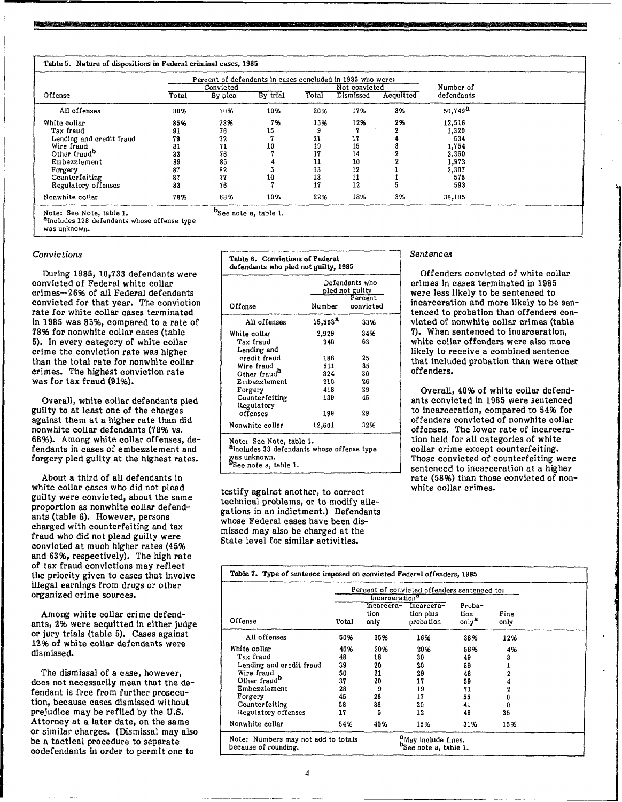|                          |       | Percent of defendants in cases concluded in 1985 who were: |          |       |               |           |                       |
|--------------------------|-------|------------------------------------------------------------|----------|-------|---------------|-----------|-----------------------|
|                          |       | Convicted                                                  |          |       | Not convicted |           | Number of             |
| Offense                  | Total | By plea                                                    | By trial | Total | Dismissed     | Acquitted | defendants            |
| All offenses             | 80%   | 70%                                                        | 10%      | 20%   | 17%           | 3%        | $50,749$ <sup>a</sup> |
| White collar             | 85%   | 78%                                                        | 7%       | 15%   | 12%           | 2%        | 12,516                |
| Tax fraud                | 91    | 76                                                         | 15       |       |               |           | 1,320                 |
| Lending and credit fraud | 79    | 72                                                         |          | 21    | 17            |           | 634                   |
| Wire fraud               | 81    | 71                                                         | 10       | 19    | 15            |           | 1.754                 |
| Other fraud <sup>o</sup> | 83    | 76                                                         |          | 17    | 14            |           | 3,360                 |
| Embezzlement             | 89    | 85                                                         |          | 11    | 10            |           | 1,973                 |
| Forgery                  | 87    | 82                                                         |          | 13    | 12            |           | 2,307                 |
| Counterfeiting           | 87    | 77                                                         | 10       | 13    | 11            |           | 575                   |
| Regulatory offenses      | 83    | 76                                                         |          | 17    | 12            |           | 593                   |
| Nonwhite collar          | 78%   | 68%                                                        | 10%      | 22%   | 18%           | 3%        | 38,105                |

b<sub>See note a, table 1.</sub>

nova za započeno veliko struktura na stanova na na struktura za na stanova za struktura na započeno za na zapo

Note: See Note, table 1. <sup>8</sup>Includes 128 defendants whose offense type

was unknown.

# *Convictions*

During 1985, 10,733 defendants were convicted of Federal white collar crimes--2696 of all Federal defendants convicted for that year. The conviction rate for white collar cases terminated in 1985 was 85%, compared to a rate of 7896 for nonWhite collar cases (table 5). In every category of white collar crime the conviction rate was higher than the total rate for nonwhite collar crimes. The highest conviction rate was for tax fraud (91%).

Overall, white collar defendants pled guilty to at least one of the charges against them at a higher rate than did nonwhite collar defendants (78% vs. 6896). Among white collar offenses, defendants in cases of embezzlement and forgery pled guilty at the highest rates.

About a third of all defendants in white collar cases who did not plead guilty were convicted, about the same proportion as nonwhite collar defendants (table 6). However, persons charged with counterfeiting and tax fraud who did not plead guilty were convicted at much higher rates (4596 and 6396, respectively). The high rate of tax fraud convictions may reflect the priority given to cases that Involve illegal earnings from drugs or other organized crime sources.

Among white collar crime defendants, 296 were acquitted in either judge or jury trials (table 5). Cases against 1296 of white collar defendants were dismissed.

The dismissal of a case, however, does not necessarily mean that the defendant is free from further prosecution, because cases dismissed without prejudice may be refiled by the U.S. Attorney at a later date, on the same or similar charges. (Dismissal may also be a tactical procedure to separate codefendants in order to permit one to

| Table 6. Convictions of Federal<br>defendants who pled not guilty, 1985                                                                 |                                              |                |  |  |  |  |
|-----------------------------------------------------------------------------------------------------------------------------------------|----------------------------------------------|----------------|--|--|--|--|
|                                                                                                                                         | Defendants who<br>pled not guilty<br>Percent |                |  |  |  |  |
| Offense                                                                                                                                 | Number                                       | convicted      |  |  |  |  |
| All offenses                                                                                                                            | $15,563^{\text{a}}$                          | 33%            |  |  |  |  |
| White collar<br>Tax fraud<br>Lending and                                                                                                | 2,929<br>340                                 | 34%<br>63      |  |  |  |  |
| credit fraud<br>Wire fraud                                                                                                              | 188<br>511                                   | 25<br>35       |  |  |  |  |
| Other fraud <sup>b</sup><br>Embezzlement<br>Forgery                                                                                     | 824<br>310<br>418                            | 30<br>26<br>29 |  |  |  |  |
| Counterfeiting<br>Regulatory                                                                                                            | 139                                          | 45             |  |  |  |  |
| offenses<br>Nonwhite collar                                                                                                             | 199<br>12,601                                | 29<br>32%      |  |  |  |  |
| Note: See Note, table 1.<br><sup>a</sup> Includes 33 defendants whose offense type<br>was unknown.<br><sup>p</sup> See note a, table 1. |                                              |                |  |  |  |  |

testify against another, to correct technical problems, or to modify allegations in an indictment.) Defendants whose Federal cases have been dismissed may also be charged at the State level for similar activities.

# *Sentences*

Offenders convicted of white collar crimes in cases terminated in 1985 were less likely to be sentenced to incarceration and more likely to be sentenced to probation than offenders convicted of nonwhite collar crimes (table 7). When sentenced to incarceration, white collar offenders were also more likely to receive a combined sentence that included probation than were other offenders.

1

,

j

Overall, 40% of white collar defendants convicted in 1985 were sentenced to incarceration, compared to 5496 for offenders convicted of nonwhite collar offenses. The lower rate of incarceration held for all categories of white collar crime except counterfeiting. Those convicted of counterfeiting were sentenced to incarceration at a higher rate (58%) than those convicted of nonwhite collar crimes.

| Table 7. Type of sentence imposed on convicted Federal offenders, 1985 |       |                                              |                                                          |                  |              |  |
|------------------------------------------------------------------------|-------|----------------------------------------------|----------------------------------------------------------|------------------|--------------|--|
|                                                                        |       | Percent of convicted offenders sentenced to: |                                                          |                  |              |  |
|                                                                        |       | Incarceration <sup>u</sup>                   |                                                          |                  |              |  |
|                                                                        |       | incarcera-                                   | Incarcera-                                               | Proba-           |              |  |
| Offense                                                                | Total | tion<br>only                                 | tion plus<br>probation                                   | tion<br>only $a$ | Fine<br>only |  |
| All offenses                                                           | 50%   | 35%                                          | 16%                                                      | 38%              | 12%          |  |
| White collar                                                           | 40%   | 20%                                          | 20%                                                      | 56%              | 4%           |  |
| Tax fraud                                                              | 48    | 18                                           | 30                                                       | 49               | 3            |  |
| Lending and credit fraud                                               | 39    | 20                                           | 20                                                       | 59               |              |  |
| Wire fraud                                                             | 50    | 21                                           | 29                                                       | 48               |              |  |
| Other fraud <sup>o</sup>                                               | 37    | 20                                           | 17                                                       | 59               |              |  |
| Embezzlement                                                           | 28    | 9                                            | 19                                                       | 71               |              |  |
| Forgery                                                                | 45    | 28                                           | 17                                                       | 55               | ß            |  |
| Counter feiting                                                        | 58    | 38                                           | 20                                                       | 41               |              |  |
| Regulatory offenses                                                    | 17    | 5                                            | 12                                                       | 48               | 35           |  |
| Nonwhite collar                                                        | 54%   | 40%                                          | 15%                                                      | 31%              | 15%          |  |
| Note: Numbers may not add to totals<br>because of rounding.            |       |                                              | "May include fines.<br><sup>D</sup> See note a, table 1. |                  |              |  |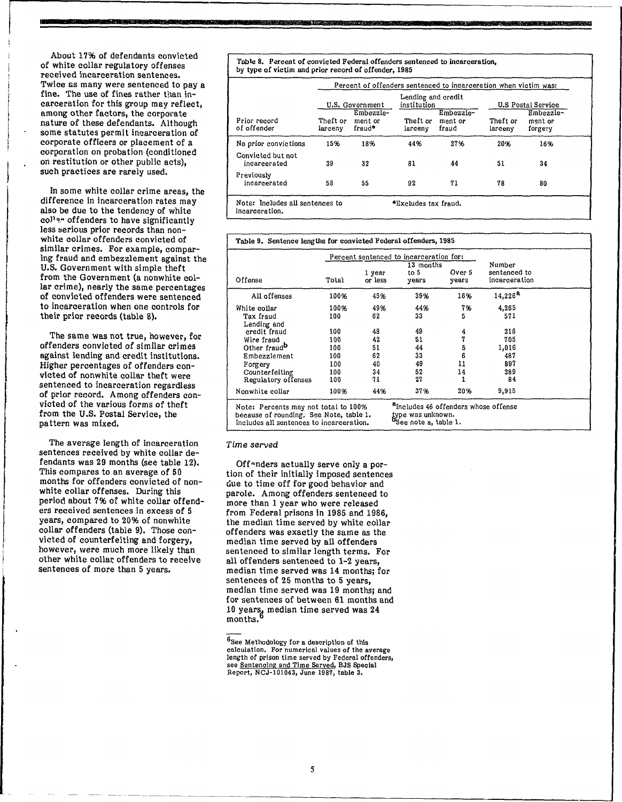About 17% of defendants convicted of white collar regulatory offenses received incarceration sentences. Twice &s many were sentenced to pay a fine. The use of fines rather than incarceration for this group may reflect, among other factors, the corporate nature of these defendants. Although some statutes permit incarceration of corporate officers or placement of a corporation on probation (conditioned on restitution or other public acts), such practices are rarely used.

In some white collar crime areas, the difference in incarceration rates may also be due to the tendency of white collar offenders to have significantly less serious prior records than nonwhite collar offenders convicted of similar crimes. For example, comparing fraud and embezzlement against the U.S. Government with simple theft from the Government (a nonwhite collar crime), nearly the same percentages of convicted offenders were sentenced to incarceration when one controls for their prior records (table 8).

The same was not true, however, for offenders convicted of similar crimes against lending and credit institutions. Higher percentages of offenders convicted of nonwhite collar theft were sentenced to incarceration regardless of prior record. Among offenders convicted of the various forms of theft from the U.S. Postal Service, the pattern was mixed.

The average length of incarceration sentences received by white collar defendants was 29 months (see table 12). This compares to an average of 50 months for offenders convicted of nonwhite collar offenses. During this period about 796 of white collar offenders received sentences in excess of 5 years, compared to 20% of nonwhite collar offenders (table 9). Those convicted of counterfeiting and forgery, however, were much more likely than other white collar offenders to receive sentences of more than 5 years.

Table 8. Percent of convicted Federal offenders sentenced to incarceration, by type of victim and prior record of offender, 1985

T **M'** 

|                                   |                     |                                |                                   |                               |                     | Percent of offenders sentenced to incarceration when victim was: |  |  |  |  |  |  |  |  |
|-----------------------------------|---------------------|--------------------------------|-----------------------------------|-------------------------------|---------------------|------------------------------------------------------------------|--|--|--|--|--|--|--|--|
|                                   |                     | U.S. Government                | Lending and credit<br>institution |                               |                     | <b>U.S Postal Service</b>                                        |  |  |  |  |  |  |  |  |
| Prior record<br>of offender       | Theft or<br>larcenv | Embezzle-<br>ment or<br>fraud* | Theft or<br>larceny               | Embezzle-<br>ment or<br>fraud | Theft or<br>larcenv | Embezzle-<br>ment or<br>forgery                                  |  |  |  |  |  |  |  |  |
| No prior convictions              | 15%                 | 18%                            | 44%                               | 27%                           | 20%                 | 16%                                                              |  |  |  |  |  |  |  |  |
| Convicted but not<br>incarcerated | 39                  | 32                             | 81                                | 44                            | 51                  | 34                                                               |  |  |  |  |  |  |  |  |
| Previously<br>incarcerated        | 58                  | 55                             | 92                                | 71                            | 78                  | 80                                                               |  |  |  |  |  |  |  |  |
| Note: Includes all sentences to   |                     |                                | *Excludes tax fraud.              |                               |                     |                                                                  |  |  |  |  |  |  |  |  |

, **3** 

A

incarcera tion.

|                                                                                                                             |                   |                   | Percent sentenced to incarceration for:                                                                |                 |                                         |  |
|-----------------------------------------------------------------------------------------------------------------------------|-------------------|-------------------|--------------------------------------------------------------------------------------------------------|-----------------|-----------------------------------------|--|
| Offense                                                                                                                     | Total             | 1 year<br>or less | 13 months<br>to 5<br>years                                                                             | Over 5<br>vears | Number<br>sentenced to<br>incarceration |  |
| All offenses                                                                                                                | 100%              | 45%               | 39%                                                                                                    | 16%             | 14,226 <sup>a</sup>                     |  |
| White collar<br>Tax fraud                                                                                                   | 100%<br>100       | 49%<br>62         | 44%<br>33                                                                                              | 7%<br>5         | 4,265<br>571                            |  |
| Lending and<br>credit fraud                                                                                                 | 100               | 48                | 49                                                                                                     | 4               | 216                                     |  |
| Wire fraud<br>Other fraud <sup>D</sup>                                                                                      | 100<br>100        | 42<br>51<br>62    | 51<br>44<br>33                                                                                         | 7<br>5<br>6     | 705<br>1,016                            |  |
| Embezzlement<br>Forgery<br>Counterfeiting                                                                                   | 100<br>100<br>100 | 40<br>34          | 49<br>52                                                                                               | 11<br>14        | 487<br>897<br>289                       |  |
| Regulatory offenses                                                                                                         | 100               | 71                | 27                                                                                                     |                 | 84                                      |  |
| Nonwhite collar                                                                                                             | 100%              | 44%               | 37%                                                                                                    | 20%             | 9,915                                   |  |
| Note: Percents may not total to 100%<br>because of rounding. See Note, table 1.<br>Includes all sentences to incarceration. |                   |                   | a <sub>Includes</sub> 46 offenders whose offense<br>type was unknown.<br><b>"</b> See note a, table 1. |                 |                                         |  |

#### Time served

Off-nders actually serve only a portion of their initially imposed sentences due to time off for good behavior and parole. Among offenders sentenced to more than 1 year who were released from Federal prisons in 1985 and 1986, the median time served by white collar offenders was exactly the same as the median time served by all offenders sentenced to similar length terms. For all offenders sentenced to 1-2 years, median time served was 14 months; for sentences of 25 months to 5 years, median time served was 19 months; and for sentences of between 61 months and 10 years, median time served was  $24$ months.

<sup>6</sup>See Methodology for a description of this calculation. For numerical values of the average length of prison time served by Federal offenders, see Sentencing and Time Served, BJS Special Report, NCJ-IOI043, June 1987, table 3.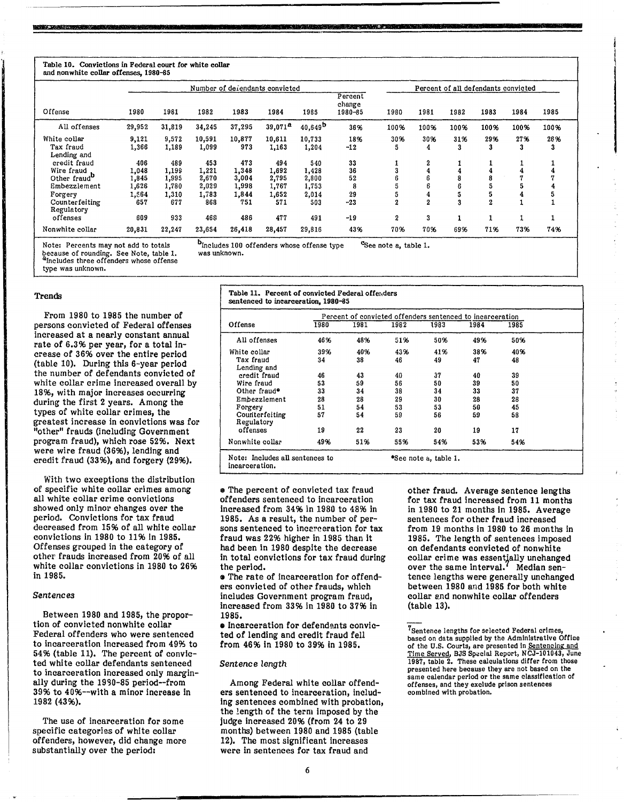#### Table 10. Convictions in Federal court for white collar and nonwhite collar offenses, 1980-85

|                                                                        |                                |                                |                                |                                | Number of defendants convicted |                                |                              |                       |                       |          | Percent of all defendants convicted |          |          |
|------------------------------------------------------------------------|--------------------------------|--------------------------------|--------------------------------|--------------------------------|--------------------------------|--------------------------------|------------------------------|-----------------------|-----------------------|----------|-------------------------------------|----------|----------|
| Offense                                                                | 1980                           | 1981                           | 1982                           | 1983                           | 1984                           | 1985                           | Percent<br>change<br>1980-85 | 1980                  | 1981                  | 1982     | 1983                                | 1984     | 1985     |
| All offenses                                                           | 29,952                         | 31,819                         | 34,245                         | 37,295                         | $39,071^{\textstyle a}$        | $40,649^{\rm b}$               | 36%                          | 100%                  | 100%                  | 100%     | 100%                                | 100%     | 100%     |
| White collar<br>Tax fraud<br>Lending and                               | 9,121<br>1,366                 | 9.572<br>1,189                 | 10,591<br>1,099                | 10,877<br>973                  | 10,611<br>1,163                | 10.733<br>1,204                | 18%<br>$-12$                 | 30%<br>5              | 30%<br>4              | 31%<br>3 | 29%<br>3                            | 27%<br>3 | 26%<br>3 |
| credit fraud<br>Wire fraud<br>Other fraud <sup>D</sup><br>Embezzlement | 406<br>1.048<br>1,845<br>1,626 | 489<br>1.199<br>1.995<br>1,780 | 453<br>1,221<br>2.670<br>2,029 | 473<br>1.348<br>3.004<br>1,998 | 494<br>1.692<br>2.795<br>1.767 | 540<br>1,428<br>2,800<br>1.753 | 33<br>36<br>52<br>8          |                       | 2<br>6<br>6           |          |                                     |          |          |
| Forgery<br>Counterfeiting<br>Regulatory                                | 1,564<br>657                   | 1,310<br>677                   | 1,783<br>868                   | 1,844<br>751                   | 1,652<br>571                   | 2,014<br>503                   | 29<br>$-23$                  | 2                     | 4<br>$\boldsymbol{2}$ | 3        |                                     |          | a        |
| offenses<br>Nonwhite collar                                            | 609<br>20,831                  | 933<br>22.247                  | 468<br>23,654                  | 486<br>26,418                  | 477<br>28,457                  | 491<br>29,816                  | $-19$<br>43%                 | $\overline{2}$<br>70% | 3<br>70%              | 69%      | 71%                                 | 73%      | 74%      |

**·SUA** *·M.* 

because of rounding. See Note, table 1. was unknown.<br><sup>A</sup>Includes three offenders whose offense

type was unknown.

#### Trends

From 1980 to 1985 the number of persons convicted of Federal offenses increased at a nearly constant annual rate of 6.3% per year, for a total Increase of 36% over the entire period (table 10). During this 6-year period the number of defendants convicted of white collar crime increased overall by 18%, with major increases occurring during the first 2 years. Among the types of white collar crimes, the greatest increase in convictions was for "other" frauds (including Government program fraud), which rose 52%. Next were wire fraud (36%), lending and credit fraud (3396), and forgery (2996).

With two exceptions the distribution of specific white collar crimes among all white collar crime convictions showed only minor changes over the period. Convictions for tax fraud decreased from 15% of all white collar convictions in 1980 to 11% in 1985. Offenses grouped in the category of other frauds increased from 20% of all white collar convictions in 1980 to 26% in 1985.

# *Sentences*

Between 1980 and 1985, the proportion of convicted nonwhite collar Federal offenders who were sentenced to incarceration Increased from 49% to 54% (table 11). The percent of convicted white collar defendants sentenced to incarceration increased only marginally during the 1990-85 period--from 39% to 40%--with a minor increase in 1982 (43%).

The use of incarceration for some specific categories of white collar offenders, however, did change more substantially over the period:

Note: Percents may not add to totals  $b_{\text{Includes 100}}$  offenders whose offense type  $c_{\text{See note a, table 1}}$ , because of rounding. See Note, table 1. was unknown.

Table 11. Percent of convicted Federal offerders sentenced to incarceration, 1980-85 Percent of convicted offenders sentenced to incarceration Offense 1980 1981 All offenses 46% 48%

| Offense                                  | 1980           | 1981           | 1982           | 1983                  | 1984           | 1985           |  |
|------------------------------------------|----------------|----------------|----------------|-----------------------|----------------|----------------|--|
| All offenses                             | 46%            | 48%            | 51%            | 50%                   | 49%            | 50%            |  |
| White collar<br>Tax fraud<br>Lending and | 39%<br>34      | 40%<br>38      | 43%<br>46      | 41%<br>49             | 38%<br>47      | 40%<br>48      |  |
| credit fraud<br>Wire fraud               | 46<br>53       | 43<br>59       | 40<br>56       | 37<br>50              | 40<br>39       | 39<br>50       |  |
| Other fraud*<br>Embezzlement<br>Forgery  | 33<br>28<br>51 | 34<br>28<br>54 | 38<br>29<br>53 | 34<br>30<br>53        | 33<br>28<br>50 | 37<br>28<br>45 |  |
| Counterfeiting<br>Regulatory             | 57             | 54             | 59             | 56                    | 59             | 58             |  |
| offenses                                 | 19             | 22             | 23             | 20                    | 19             | 17             |  |
| Nonwhite collar                          | 49%            | 51%            | 55%            | 54%                   | 53%            | 54%            |  |
| Note: Includes all sentences to          |                |                |                | *See note a, table 1. |                |                |  |

incarcera tion.

. The percent of convicted tax fraud offenders sentenced to Incarceration Increased from 34% in 1980 to 48% in 1985. As a result, the number of persons sentenced to incerceration for tax fraud was 22% higher in 1985 than It had been in 1980 despite the decrease in total convictions for tax fraud during the period.

 $\bullet$  The rate of incarceration for offenders convicted of other frauds, which includes Government program fraud, increased from 33% In 1980 to 37% In 1985.

• Incarceration for defendents convicted of lending and credit fraud fell from 46% in 1980 to 39% in 1985.

#### *Sentence length*

Among Federal white collar offenders sentenced to incarceration, including sentences combined with probation, the length of the term imposed by the judge increased 2096 (from 24 to 29 months) between 1980 and 1985 (table 12). The most significant Increases were in sentences for tax fraud and

other fraud. Average sentence lengths for tax fraud increased from 11 months in 1980 to 21 months In 1985. Average sentences for other fraud increased from 19 months in 1980 to 26 months In 1985. The length of sentences imposed on defendants convicted of nonwhite collar crime was essentjally unchanged over the same interval.<sup>7</sup> Median sentence lengths were generally unchanged between 1980 and 1985 for both white collar and nonwhite collar offenders (table 13).

<sup>7</sup>Sentence lengths for selected Federal crimes, based on data supplied by the Administrative Office of the U.S. Courts, are presented in <u>Sentencing and Time Served</u>, BJS Special Report, NCJ-101043, June 1987, table 2. These calculations differ from those presented here because they are not based on the same calendar period or the same elasslflcatlon of offenses, and they exclude prison sentences combined with probation.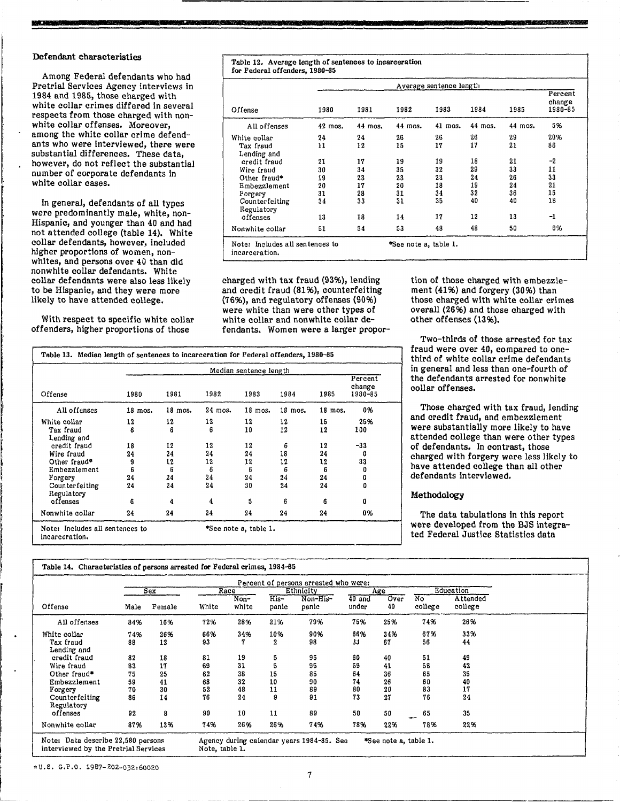#### Defendant characteristics

**-**

Among Federal defendants who had Pretrial Services Agency interviews in 1984 and 1985, those charged with white collar crimes differed in several respects from those charged with nonwhite collar offenses. Moreover, among the white collar crime defendants who were Interviewed, there were substantial differences. These data, however, do not reflect the substantial number of corporate defendants in white collar cases.

In general, defendants of all types were predominantly male, white, non-Hispanic, and younger than 40 and had not attended college (table 14). White collar defendants, however, included higher proportions of women, nonwhites, and persons over 40 than did nonwhite collar defendants. White collar defendants were also less likely to be Hispanic, and they were more likely to have attended college.

With respect to specific white collar offenders, higher proportions of those

Table 12. Average length of sentences to incarceration for Federal offenders, 1980-65 Average sentence length Percent change<br>1980-85 Offense 1980 1981 1982 1983 1984 1985 1980-85 All offenses 42 mos. 44 mos. 44 mos. 41 mos. 44 mos. 44 mos. 5% White collar 24 24 26 26 26 29 20% Tax fraud 11 12 15 17 17 21 86 Lending and credit fraud 21 17 19 19 18 21 -2<br>Wire fraud 30 34 35 32 29 33 11 Wire fraud 30 34 35 32 29 33 11 0ther fraud\* 19 23 23 23 24 26 33<br>
Embezzlement 20 17 20 18 19 24 21 Embezzlement 20 17 20 18 19 24 21<br>
Forgery 31 28 31 34 32 36 15 Forgery 31 28 31 34 32 36 15 Counterfeiting 34 33 31 35 40 40 18 Regulatory<br>offenses offenses 13 18 14 17 12 13 -1 NonWhite collar 51 54 53 48 48 50 0% Note: Includes all sen tences to \*See note a, table 1. incarcera tion.

charged with tax fraud (93%), lending and credit fraud (81%), counterfeiting (76%), and regulatory offenses (90%) were white than were other types of white collar and nonwhite collar defendants. Women were a larger propor-

tion of those charged with embezzlement (41%) and forgery (30%) than those charged with white collar crimes overall (26%) and those charged with other offenses (13%).

Two-thirds of those arrested for tax fraud were over 40, compared to onethird of white collar crime defendants In general and less than one-fourth of the defendants arrested for nonwhite collar offenses.

Those charged with tax fraud, lending and credit fraud, and embezzlement were substantially more likely to have attended college than were other types of defendants. In contrast, those charged with forgery were less likely to have attended college than all other defendants interviewed.

# Methodology

The data tabulations in this report were developed from the BJS integrated Federal JustIce Statistics data

|                              |         | Median sentence length |         |         |           |         |                              |  |  |  |
|------------------------------|---------|------------------------|---------|---------|-----------|---------|------------------------------|--|--|--|
| Offense                      | 1980    | 1981                   | 1982    | 1983    | 1984      | 1985    | Percent<br>change<br>1980-85 |  |  |  |
| All offenses                 | 18 mos. | $18$ mos.              | 24 mos. | 18 mos. | $18$ mos. | 18 mos. | 0%                           |  |  |  |
| White collar                 | 12      | 12                     | 12      | 12      | 12        | 15      | 25%                          |  |  |  |
| Tax fraud<br>Lending and     | 6       | 6                      | 6       | 10      | 12        | 12      | 100                          |  |  |  |
| credit fraud                 | 18      | 12                     | 12      | 12      | 6         | 12      | $-33$                        |  |  |  |
| Wire fraud                   | 24      | 24                     | 24      | 24      | 18        | 24      | 0                            |  |  |  |
| Other fraud <sup>®</sup>     | 9       | 12                     | 12      | 12      | 12        | 12      | 33                           |  |  |  |
| Embezzlement                 | 6       | 6                      | 6       | 6       | 6         | 6       | 0                            |  |  |  |
| Forgery                      | 24      | 24                     | 24      | 24      | 24        | 24      | 0                            |  |  |  |
| Counterfeiting<br>Regulatory | 24      | 24                     | 24      | 30      | 24        | 24      | ٥                            |  |  |  |
| offenses                     | 6       | 4                      | 4       | 5       | 6         | 6       | O                            |  |  |  |
| Nonwhite collar              | 24      | 24                     | 24      | 24      | 24        | 24      | 0%                           |  |  |  |

**-**

| Offense                      | Percent of persons arrested who were:<br>Education |        |       |               |                 |                   |                   |            |                      |                     |  |
|------------------------------|----------------------------------------------------|--------|-------|---------------|-----------------|-------------------|-------------------|------------|----------------------|---------------------|--|
|                              | Sex                                                |        | Race  |               | Ethnicity       |                   | Age               |            |                      |                     |  |
|                              | Male                                               | Female | White | Non-<br>white | $His-$<br>panic | Non-His-<br>panic | $40$ and<br>under | Over<br>40 | <b>No</b><br>college | Attended<br>college |  |
| All offenses                 | 84%                                                | 16%    | 72%   | 28%           | 21%             | 79%               | 75%               | 25%        | 74%                  | 26%                 |  |
| White collar                 | 74%                                                | 26%    | 66%   | 34%           | 10%             | 90%               | 66%               | 34%        | 67%                  | 33%                 |  |
| Tax fraud<br>Lending and     | 88                                                 | 12     | 93    | 7             | 2               | 98                | 33                | 67         | 56                   | 44                  |  |
| credit fraud                 | 82                                                 | 18     | 81    | 19            | 5               | 95                | 60                | 40         | 51                   | 49                  |  |
| Wire fraud                   | 83                                                 | 17     | 69    | 31            | 5               | 95                | 59                | 41         | 58                   | 42                  |  |
| Other fraud*                 | 75                                                 | 25     | 62    | 38            | 15              | 85                | 64                | 36         | 65                   | 35                  |  |
| Embezzlement                 | 59                                                 | 41     | 68    | 32            | 10              | 90                | 74                | 26         | 60                   | 40                  |  |
| Forgery                      | 70                                                 | 30     | 52    | 48            | 11              | 89                | 80                | 20         | 83                   | 17                  |  |
| Counterfeiting<br>Regulatory | 86                                                 | 14     | 76    | 24            | 9               | 91                | 73                | 27         | 76                   | 24                  |  |
| offenses                     | 92                                                 | 8      | 90    | 10            | 11              | 89                | 50                | 50         | 65<br><b>COLUM</b>   | 35                  |  |
| Nonwhite collar              | 87%                                                | 13%    | 74%   | 26%           | 26%             | 74%               | 78%               | 22%        | 78%                  | 22%                 |  |

~u.s. G.P.O. 1987-202-032,60020